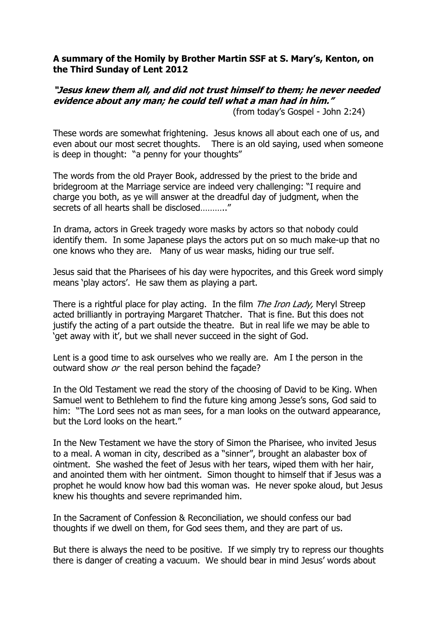## A summary of the Homily by Brother Martin SSF at S. Mary's, Kenton, on the Third Sunday of Lent 2012

## "Jesus knew them all, and did not trust himself to them; he never needed evidence about any man; he could tell what a man had in him."

(from today's Gospel - John 2:24)

These words are somewhat frightening. Jesus knows all about each one of us, and even about our most secret thoughts. There is an old saying, used when someone is deep in thought: "a penny for your thoughts"

The words from the old Prayer Book, addressed by the priest to the bride and bridegroom at the Marriage service are indeed very challenging: "I require and charge you both, as ye will answer at the dreadful day of judgment, when the secrets of all hearts shall be disclosed……….."

In drama, actors in Greek tragedy wore masks by actors so that nobody could identify them. In some Japanese plays the actors put on so much make-up that no one knows who they are. Many of us wear masks, hiding our true self.

Jesus said that the Pharisees of his day were hypocrites, and this Greek word simply means 'play actors'. He saw them as playing a part.

There is a rightful place for play acting. In the film *The Iron Lady*, Meryl Streep acted brilliantly in portraying Margaret Thatcher. That is fine. But this does not justify the acting of a part outside the theatre. But in real life we may be able to 'get away with it', but we shall never succeed in the sight of God.

Lent is a good time to ask ourselves who we really are. Am I the person in the outward show or the real person behind the facade?

In the Old Testament we read the story of the choosing of David to be King. When Samuel went to Bethlehem to find the future king among Jesse's sons, God said to him: "The Lord sees not as man sees, for a man looks on the outward appearance, but the Lord looks on the heart."

In the New Testament we have the story of Simon the Pharisee, who invited Jesus to a meal. A woman in city, described as a "sinner", brought an alabaster box of ointment. She washed the feet of Jesus with her tears, wiped them with her hair, and anointed them with her ointment. Simon thought to himself that if Jesus was a prophet he would know how bad this woman was. He never spoke aloud, but Jesus knew his thoughts and severe reprimanded him.

In the Sacrament of Confession & Reconciliation, we should confess our bad thoughts if we dwell on them, for God sees them, and they are part of us.

But there is always the need to be positive. If we simply try to repress our thoughts there is danger of creating a vacuum. We should bear in mind Jesus' words about